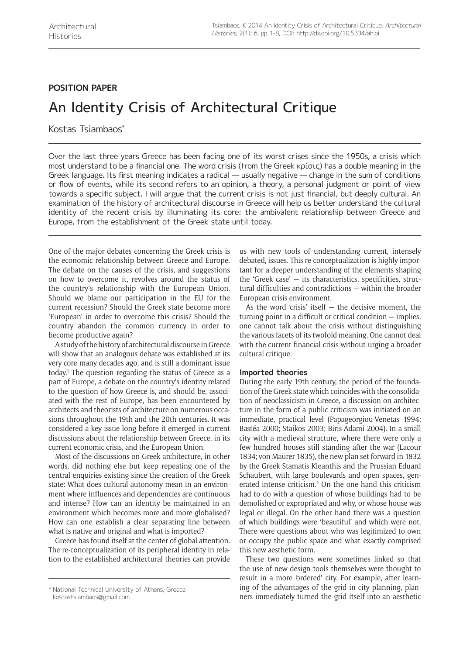## **POSITION PAPER**

# An Identity Crisis of Architectural Critique

Kostas Tsiambaos\*

Over the last three years Greece has been facing one of its worst crises since the 1950s, a crisis which most understand to be a financial one. The word crisis (from the Greek κρίσις) has a double meaning in the Greek language. Its first meaning indicates a radical — usually negative — change in the sum of conditions or flow of events, while its second refers to an opinion, a theory, a personal judgment or point of view towards a specific subject. I will argue that the current crisis is not just financial, but deeply cultural. An examination of the history of architectural discourse in Greece will help us better understand the cultural identity of the recent crisis by illuminating its core: the ambivalent relationship between Greece and Europe, from the establishment of the Greek state until today.

One of the major debates concerning the Greek crisis is the economic relationship between Greece and Europe. The debate on the causes of the crisis, and suggestions on how to overcome it, revolves around the status of the country's relationship with the European Union. Should we blame our participation in the EU for the current recession? Should the Greek state become more 'European' in order to overcome this crisis? Should the country abandon the common currency in order to become productive again?

A study of the history of architectural discourse in Greece will show that an analogous debate was established at its very core many decades ago, and is still a dominant issue today.1 The question regarding the status of Greece as a part of Europe, a debate on the country's identity related to the question of how Greece is, and should be, associated with the rest of Europe, has been encountered by architects and theorists of architecture on numerous occasions throughout the 19th and the 20th centuries. It was considered a key issue long before it emerged in current discussions about the relationship between Greece, in its current economic crisis, and the European Union.

Most of the discussions on Greek architecture, in other words, did nothing else but keep repeating one of the central enquiries existing since the creation of the Greek state: What does cultural autonomy mean in an environment where influences and dependencies are continuous and intense? How can an identity be maintained in an environment which becomes more and more globalised? How can one establish a clear separating line between what is native and original and what is imported?

Greece has found itself at the center of global attention. The re-conceptualization of its peripheral identity in relation to the established architectural theories can provide us with new tools of understanding current, intensely debated, issues. This re-conceptualization is highly important for a deeper understanding of the elements shaping the 'Greek case' — its characteristics, specificities, structural difficulties and contradictions — within the broader European crisis environment.

As the word 'crisis' itself  $-$  the decisive moment, the turning point in a difficult or critical condition — implies, one cannot talk about the crisis without distinguishing the various facets of its twofold meaning. One cannot deal with the current financial crisis without urging a broader cultural critique.

## **Imported theories**

During the early 19th century, the period of the foundation of the Greek state which coincides with the consolidation of neoclassicism in Greece, a discussion on architecture in the form of a public criticism was initiated on an immediate, practical level (Papageorgiou-Venetas 1994; Bastéa 2000; Staikos 2003; Biris-Adami 2004). In a small city with a medieval structure, where there were only a few hundred houses still standing after the war (Lacour 1834; von Maurer 1835), the new plan set forward in 1832 by the Greek Stamatis Kleanthis and the Prussian Eduard Schaubert, with large boulevards and open spaces, generated intense criticism.<sup>2</sup> On the one hand this criticism had to do with a question of whose buildings had to be demolished or expropriated and why, or whose house was legal or illegal. On the other hand there was a question of which buildings were 'beautiful' and which were not. There were questions about who was legitimized to own or occupy the public space and what exactly comprised this new aesthetic form.

These two questions were sometimes linked so that the use of new design tools themselves were thought to result in a more 'ordered' city. For example, after learning of the advantages of the grid in city planning, planners immediately turned the grid itself into an aesthetic \* National Technical University of Athens, Greece

[kostastsiambaos@gmail.com](mailto:kostastsiambaos@gmail.com)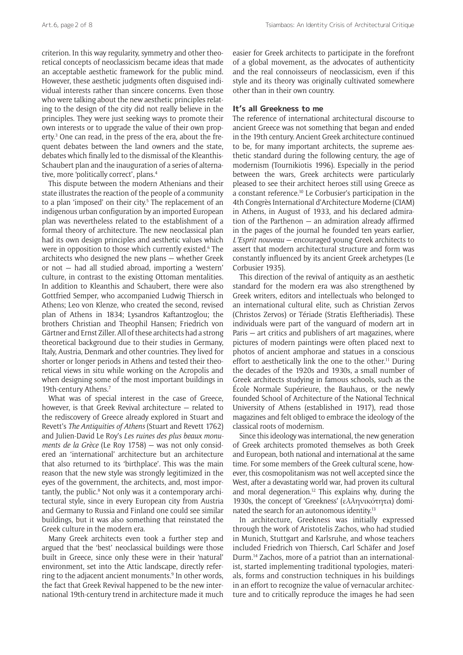criterion. In this way regularity, symmetry and other theoretical concepts of neoclassicism became ideas that made an acceptable aesthetic framework for the public mind. However, these aesthetic judgments often disguised individual interests rather than sincere concerns. Even those who were talking about the new aesthetic principles relating to the design of the city did not really believe in the principles. They were just seeking ways to promote their own interests or to upgrade the value of their own property.<sup>3</sup> One can read, in the press of the era, about the frequent debates between the land owners and the state, debates which finally led to the dismissal of the Kleanthis-Schaubert plan and the inauguration of a series of alternative, more 'politically correct', plans.4

This dispute between the modern Athenians and their state illustrates the reaction of the people of a community to a plan 'imposed' on their city.<sup>5</sup> The replacement of an indigenous urban configuration by an imported European plan was nevertheless related to the establishment of a formal theory of architecture. The new neoclassical plan had its own design principles and aesthetic values which were in opposition to those which currently existed.<sup>6</sup> The architects who designed the new plans — whether Greek or not — had all studied abroad, importing a 'western' culture, in contrast to the existing Ottoman mentalities. In addition to Kleanthis and Schaubert, there were also Gottfried Semper, who accompanied Ludwig Thiersch in Athens; Leo von Klenze, who created the second, revised plan of Athens in 1834; Lysandros Kaftantzoglou; the brothers Christian and Theophil Hansen; Friedrich von Gärtner and Ernst Ziller. All of these architects had a strong theoretical background due to their studies in Germany, Italy, Austria, Denmark and other countries. They lived for shorter or longer periods in Athens and tested their theoretical views in situ while working on the Acropolis and when designing some of the most important buildings in 19th-century Athens.7

What was of special interest in the case of Greece, however, is that Greek Revival architecture — related to the rediscovery of Greece already explored in Stuart and Revett's *The Antiquities of Athens* (Stuart and Revett 1762) and Julien-David Le Roy's *Les ruines des plus beaux monuments de la Grèce* (Le Roy 1758) — was not only considered an 'international' architecture but an architecture that also returned to its 'birthplace'. This was the main reason that the new style was strongly legitimized in the eyes of the government, the architects, and, most importantly, the public.<sup>8</sup> Not only was it a contemporary architectural style, since in every European city from Austria and Germany to Russia and Finland one could see similar buildings, but it was also something that reinstated the Greek culture in the modern era.

Many Greek architects even took a further step and argued that the 'best' neoclassical buildings were those built in Greece, since only these were in their 'natural' environment, set into the Attic landscape, directly referring to the adjacent ancient monuments.<sup>9</sup> In other words, the fact that Greek Revival happened to be the new international 19th-century trend in architecture made it much

easier for Greek architects to participate in the forefront of a global movement, as the advocates of authenticity and the real connoisseurs of neoclassicism, even if this style and its theory was originally cultivated somewhere other than in their own country.

### **It's all Greekness to me**

The reference of international architectural discourse to ancient Greece was not something that began and ended in the 19th century. Ancient Greek architecture continued to be, for many important architects, the supreme aesthetic standard during the following century, the age of modernism (Tournikiotis 1996). Especially in the period between the wars, Greek architects were particularly pleased to see their architect heroes still using Greece as a constant reference.10 Le Corbusier's participation in the 4th Congrès International d'Architecture Moderne (CIAM) in Athens, in August of 1933, and his declared admiration of the Parthenon — an admiration already affirmed in the pages of the journal he founded ten years earlier, *L'Esprit nouveau* — encouraged young Greek architects to assert that modern architectural structure and form was constantly influenced by its ancient Greek archetypes (Le Corbusier 1935).

This direction of the revival of antiquity as an aesthetic standard for the modern era was also strengthened by Greek writers, editors and intellectuals who belonged to an international cultural elite, such as Christian Zervos (Christos Zervos) or Tériade (Stratis Eleftheriadis). These individuals were part of the vanguard of modern art in Paris — art critics and publishers of art magazines, where pictures of modern paintings were often placed next to photos of ancient amphorae and statues in a conscious effort to aesthetically link the one to the other.<sup>11</sup> During the decades of the 1920s and 1930s, a small number of Greek architects studying in famous schools, such as the École Normale Supérieure, the Bauhaus, or the newly founded School of Architecture of the National Technical University of Athens (established in 1917), read those magazines and felt obliged to embrace the ideology of the classical roots of modernism.

Since this ideology was international, the new generation of Greek architects promoted themselves as both Greek and European, both national and international at the same time. For some members of the Greek cultural scene, however, this cosmopolitanism was not well accepted since the West, after a devastating world war, had proven its cultural and moral degeneration.<sup>12</sup> This explains why, during the 1930s, the concept of 'Greekness' (ελληνικότητα) dominated the search for an autonomous identity.13

In architecture, Greekness was initially expressed through the work of Aristotelis Zachos, who had studied in Munich, Stuttgart and Karlsruhe, and whose teachers included Friedrich von Thiersch, Carl Schäfer and Josef Durm.14 Zachos, more of a patriot than an internationalist, started implementing traditional typologies, materials, forms and construction techniques in his buildings in an effort to recognize the value of vernacular architecture and to critically reproduce the images he had seen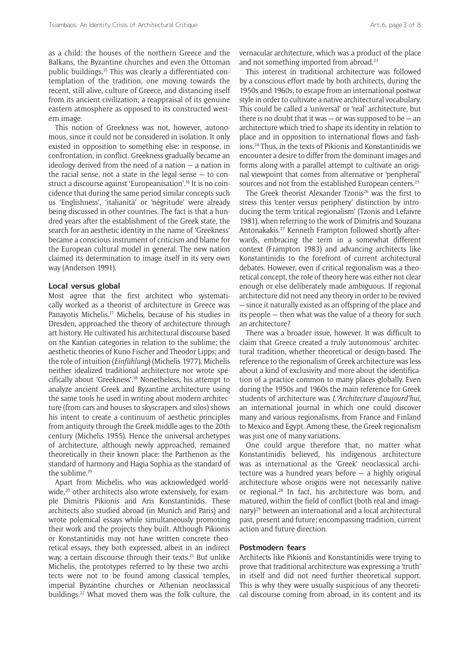as a child: the houses of the northern Greece and the Balkans, the Byzantine churches and even the Ottoman public buildings.15 This was clearly a differentiated contemplation of the tradition, one moving towards the recent, still alive, culture of Greece, and distancing itself from its ancient civilization; a reappraisal of its genuine eastern atmosphere as opposed to its constructed western image.

This notion of Greekness was not, however, autonomous, since it could not be considered in isolation. It only existed in opposition to something else: in response, in confrontation, in conflict. Greekness gradually became an ideology derived from the need of a nation  $-$  a nation in the racial sense, not a state in the legal sense  $-$  to construct a discourse against 'Europeanisation'.16 It is no coincidence that during the same period similar concepts such us 'Englishness', 'italianità' or 'négritude' were already being discussed in other countries. The fact is that a hundred years after the establishment of the Greek state, the search for an aesthetic identity in the name of 'Greekness' became a conscious instrument of criticism and blame for the European cultural model in general. The new nation claimed its determination to image itself in its very own way (Anderson 1991).

#### **Local versus global**

Most agree that the first architect who systematically worked as a theorist of architecture in Greece was Panayotis Michelis.17 Michelis, because of his studies in Dresden, approached the theory of architecture through art history. He cultivated his architectural discourse based on the Kantian categories in relation to the sublime; the aesthetic theories of Kuno Fischer and Theodor Lipps; and the role of intuition (*Einfühlung*) (Michelis 1977). Michelis neither idealized traditional architecture nor wrote specifically about 'Greekness'.18 Nonetheless, his attempt to analyze ancient Greek and Byzantine architecture using the same tools he used in writing about modern architecture (from cars and houses to skyscrapers and silos) shows his intent to create a continuum of aesthetic principles from antiquity through the Greek middle ages to the 20th century (Michelis 1955). Hence the universal archetypes of architecture, although newly approached, remained theoretically in their known place: the Parthenon as the standard of harmony and Hagia Sophia as the standard of the sublime.19

Apart from Michelis, who was acknowledged worldwide,<sup>20</sup> other architects also wrote extensively, for example Dimitris Pikionis and Aris Konstantinidis. These architects also studied abroad (in Munich and Paris) and wrote polemical essays while simultaneously promoting their work and the projects they built. Although Pikionis or Konstantinidis may not have written concrete theoretical essays, they both expressed, albeit in an indirect way, a certain discourse through their texts.<sup>21</sup> But unlike Michelis, the prototypes referred to by these two architects were not to be found among classical temples, imperial Byzantine churches or Athenian neoclassical buildings.<sup>22</sup> What moved them was the folk culture, the

vernacular architecture, which was a product of the place and not something imported from abroad.<sup>23</sup>

This interest in traditional architecture was followed by a conscious effort made by both architects, during the 1950s and 1960s, to escape from an international postwar style in order to cultivate a native architectural vocabulary. This could be called a 'universal' or 'real' architecture, but there is no doubt that it was  $-$  or was supposed to be  $-$  an architecture which tried to shape its identity in relation to place and in opposition to international flows and fashions.24 Thus, in the texts of Pikionis and Konstantinidis we encounter a desire to differ from the dominant images and forms along with a parallel attempt to cultivate an original viewpoint that comes from alternative or 'peripheral' sources and not from the established European centers.<sup>25</sup>

The Greek theorist Alexander Tzonis<sup>26</sup> was the first to stress this 'center versus periphery' distinction by introducing the term 'critical regionalism' (Tzonis and Lefaivre 1981), when referring to the work of Dimitris and Souzana Antonakakis.27 Kenneth Frampton followed shortly afterwards, embracing the term in a somewhat different context (Frampton 1983) and advancing architects like Konstantinidis to the forefront of current architectural debates. However, even if critical regionalism was a theoretical concept, the role of theory here was either not clear enough or else deliberately made ambiguous. If regional architecture did not need any theory in order to be revived — since it naturally existed as an offspring of the place and its people — then what was the value of a theory for such an architecture?

There was a broader issue, however. It was difficult to claim that Greece created a truly 'autonomous' architectural tradition, whether theoretical or design-based. The reference to the regionalism of Greek architecture was less about a kind of exclusivity and more about the identification of a practice common to many places globally. Even during the 1950s and 1960s the main reference for Greek students of architecture was *L'Architecture d'aujourd'hui*, an international journal in which one could discover many and various regionalisms, from France and Finland to Mexico and Egypt. Among these, the Greek regionalism was just one of many variations.

One could argue therefore that, no matter what Konstantinidis believed, his indigenous architecture was as international as the 'Greek' neoclassical architecture was a hundred years before — a highly original architecture whose origins were not necessarily native or regional.28 In fact, his architecture was born, and matured, within the field of conflict (both real and imaginary)29 between an international and a local architectural past, present and future; encompassing tradition, current action and future direction.

## **Postmodern fears**

Architects like Pikionis and Konstantinidis were trying to prove that traditional architecture was expressing a 'truth' in itself and did not need further theoretical support. This is why they were usually suspicious of any theoretical discourse coming from abroad, in its content and its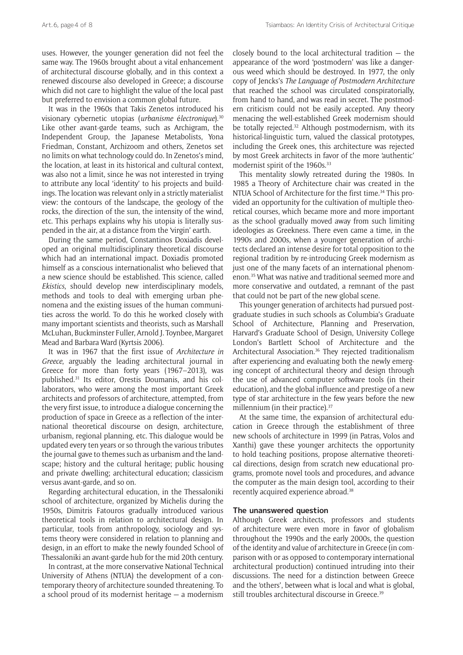uses. However, the younger generation did not feel the same way. The 1960s brought about a vital enhancement of architectural discourse globally, and in this context a renewed discourse also developed in Greece; a discourse which did not care to highlight the value of the local past but preferred to envision a common global future.

It was in the 1960s that Takis Zenetos introduced his visionary cybernetic utopias (*urbanisme* é*lectronique*).30 Like other avant-garde teams, such as Archigram, the Independent Group, the Japanese Metabolists, Yona Friedman, Constant, Archizoom and others, Zenetos set no limits on what technology could do. In Zenetos's mind, the location, at least in its historical and cultural context, was also not a limit, since he was not interested in trying to attribute any local 'identity' to his projects and buildings. The location was relevant only in a strictly materialist view: the contours of the landscape, the geology of the rocks, the direction of the sun, the intensity of the wind, etc. This perhaps explains why his utopia is literally suspended in the air, at a distance from the 'virgin' earth.

During the same period, Constantinos Doxiadis developed an original multidisciplinary theoretical discourse which had an international impact. Doxiadis promoted himself as a conscious internationalist who believed that a new science should be established. This science, called *Ekistics*, should develop new interdisciplinary models, methods and tools to deal with emerging urban phenomena and the existing issues of the human communities across the world. To do this he worked closely with many important scientists and theorists, such as Marshall McLuhan, Buckminster Fuller, Arnold J. Toynbee, Margaret Mead and Barbara Ward (Kyrtsis 2006).

It was in 1967 that the first issue of *Architecture in Greece*, arguably the leading architectural journal in Greece for more than forty years (1967–2013), was published.31 Its editor, Orestis Doumanis, and his collaborators, who were among the most important Greek architects and professors of architecture, attempted, from the very first issue, to introduce a dialogue concerning the production of space in Greece as a reflection of the international theoretical discourse on design, architecture, urbanism, regional planning, etc. This dialogue would be updated every ten years or so through the various tributes the journal gave to themes such as urbanism and the landscape; history and the cultural heritage; public housing and private dwelling; architectural education; classicism versus avant-garde, and so on.

Regarding architectural education, in the Thessaloniki school of architecture, organized by Michelis during the 1950s, Dimitris Fatouros gradually introduced various theoretical tools in relation to architectural design. In particular, tools from anthropology, sociology and systems theory were considered in relation to planning and design, in an effort to make the newly founded School of Thessaloniki an avant-garde hub for the mid 20th century.

In contrast, at the more conservative National Technical University of Athens (NTUA) the development of a contemporary theory of architecture sounded threatening. To a school proud of its modernist heritage — a modernism closely bound to the local architectural tradition — the appearance of the word 'postmodern' was like a dangerous weed which should be destroyed. In 1977, the only copy of Jencks's *The Language of Postmodern Architecture* that reached the school was circulated conspiratorially, from hand to hand, and was read in secret. The postmodern criticism could not be easily accepted. Any theory menacing the well-established Greek modernism should be totally rejected.<sup>32</sup> Although postmodernism, with its historical-linguistic turn, valued the classical prototypes, including the Greek ones, this architecture was rejected by most Greek architects in favor of the more 'authentic' modernist spirit of the 1960s.<sup>33</sup>

This mentality slowly retreated during the 1980s. In 1985 a Theory of Architecture chair was created in the NTUA School of Architecture for the first time.<sup>34</sup> This provided an opportunity for the cultivation of multiple theoretical courses, which became more and more important as the school gradually moved away from such limiting ideologies as Greekness. There even came a time, in the 1990s and 2000s, when a younger generation of architects declared an intense desire for total opposition to the regional tradition by re-introducing Greek modernism as just one of the many facets of an international phenomenon.35 What was native and traditional seemed more and more conservative and outdated, a remnant of the past that could not be part of the new global scene.

This younger generation of architects had pursued postgraduate studies in such schools as Columbia's Graduate School of Architecture, Planning and Preservation, Harvard's Graduate School of Design, University College London's Bartlett School of Architecture and the Architectural Association.<sup>36</sup> They rejected traditionalism after experiencing and evaluating both the newly emerging concept of architectural theory and design through the use of advanced computer software tools (in their education), and the global influence and prestige of a new type of star architecture in the few years before the new millennium (in their practice).<sup>37</sup>

At the same time, the expansion of architectural education in Greece through the establishment of three new schools of architecture in 1999 (in Patras, Volos and Xanthi) gave these younger architects the opportunity to hold teaching positions, propose alternative theoretical directions, design from scratch new educational programs, promote novel tools and procedures, and advance the computer as the main design tool, according to their recently acquired experience abroad.38

#### **The unanswered question**

Although Greek architects, professors and students of architecture were even more in favor of globalism throughout the 1990s and the early 2000s, the question of the identity and value of architecture in Greece (in comparison with or as opposed to contemporary international architectural production) continued intruding into their discussions. The need for a distinction between Greece and the 'others', between what is local and what is global, still troubles architectural discourse in Greece.<sup>39</sup>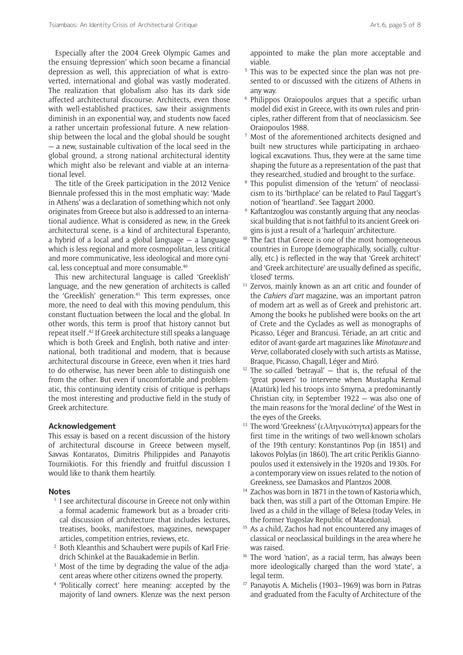Especially after the 2004 Greek Olympic Games and the ensuing 'depression' which soon became a financial depression as well, this appreciation of what is extroverted, international and global was vastly moderated. The realization that globalism also has its dark side affected architectural discourse. Architects, even those with well-established practices, saw their assignments diminish in an exponential way, and students now faced a rather uncertain professional future. A new relationship between the local and the global should be sought — a new, sustainable cultivation of the local seed in the global ground, a strong national architectural identity which might also be relevant and viable at an international level.

The title of the Greek participation in the 2012 Venice Biennale professed this in the most emphatic way: 'Made in Athens' was a declaration of something which not only originates from Greece but also is addressed to an international audience. What is considered as new, in the Greek architectural scene, is a kind of architectural Esperanto, a hybrid of a local and a global language  $-$  a language which is less regional and more cosmopolitan, less critical and more communicative, less ideological and more cynical, less conceptual and more consumable.40

This new architectural language is called 'Greeklish' language, and the new generation of architects is called the 'Greeklish' generation.<sup>41</sup> This term expresses, once more, the need to deal with this moving pendulum, this constant fluctuation between the local and the global. In other words, this term is proof that history cannot but repeat itself .42 If Greek architecture still speaks a language which is both Greek and English, both native and international, both traditional and modern, that is because architectural discourse in Greece, even when it tries hard to do otherwise, has never been able to distinguish one from the other. But even if uncomfortable and problematic, this continuing identity crisis of critique is perhaps the most interesting and productive field in the study of Greek architecture.

#### **Acknowledgement**

This essay is based on a recent discussion of the history of architectural discourse in Greece between myself, Savvas Kontaratos, Dimitris Philippides and Panayotis Tournikiotis. For this friendly and fruitful discussion I would like to thank them heartily.

#### **Notes**

- <sup>1</sup> I see architectural discourse in Greece not only within a formal academic framework but as a broader critical discussion of architecture that includes lectures, treatises, books, manifestoes, magazines, newspaper articles, competition entries, reviews, etc.
- <sup>2</sup> Both Kleanthis and Schaubert were pupils of Karl Friedrich Schinkel at the Bauakademie in Berlin.
- <sup>3</sup> Most of the time by degrading the value of the adjacent areas where other citizens owned the property.
- <sup>4</sup> 'Politically correct' here meaning: accepted by the majority of land owners. Klenze was the next person

appointed to make the plan more acceptable and viable.

- <sup>5</sup> This was to be expected since the plan was not presented to or discussed with the citizens of Athens in any way.
- <sup>6</sup> Philippos Oraiopoulos argues that a specific urban model did exist in Greece, with its own rules and principles, rather different from that of neoclassicism. See Oraiopoulos 1988.
- Most of the aforementioned architects designed and built new structures while participating in archaeological excavations. Thus, they were at the same time shaping the future as a representation of the past that they researched, studied and brought to the surface.
- <sup>8</sup> This populist dimension of the 'return' of neoclassicism to its 'birthplace' can be related to Paul Taggart's notion of 'heartland'. See Taggart 2000.
- Kaftantzoglou was constantly arguing that any neoclassical building that is not faithful to its ancient Greek origins is just a result of a 'harlequin' architecture.
- <sup>10</sup> The fact that Greece is one of the most homogeneous countries in Europe (demographically, socially, culturally, etc.) is reflected in the way that 'Greek architect' and 'Greek architecture' are usually defined as specific, 'closed' terms. 11 Zervos, mainly known as an art critic and founder of
- the *Cahiers d'art* magazine, was an important patron of modern art as well as of Greek and prehistoric art. Among the books he published were books on the art of Crete and the Cyclades as well as monographs of Picasso, Léger and Brancusi. Tériade, an art critic and editor of avant-garde art magazines like *Minotaure* and *Verve*, collaborated closely with such artists as Matisse, Braque, Picasso, Chagall, Léger and Miró.
- $12$  The so-called 'betrayal'  $-$  that is, the refusal of the 'great powers' to intervene when Mustapha Kemal (Atatürk) led his troops into Smyrna, a predominantly Christian city, in September 1922 — was also one of the main reasons for the 'moral decline' of the West in the eyes of the Greeks.<br><sup>13</sup> The word 'Greekness' (ελληνικότητα) appears for the
- first time in the writings of two well-known scholars of the 19th century: Konstantinos Pop (in 1851) and Iakovos Polylas (in 1860). The art critic Periklis Giannopoulos used it extensively in the 1920s and 1930s. For a contemporary view on issues related to the notion of Greekness, see Damaskos and Plantzos 2008.
- <sup>14</sup> Zachos was born in 1871 in the town of Kastoria which, back then, was still a part of the Ottoman Empire. He lived as a child in the village of Belesa (today Veles, in the former Yugoslav Republic of Macedonia).<br>As a child, Zachos had not encountered any images of
- classical or neoclassical buildings in the area where he was raised.<br><sup>16</sup> The word 'nation', as a racial term, has always been
- more ideologically charged than the word 'state', a legal term.
- <sup>17</sup> Panayotis A. Michelis (1903–1969) was born in Patras and graduated from the Faculty of Architecture of the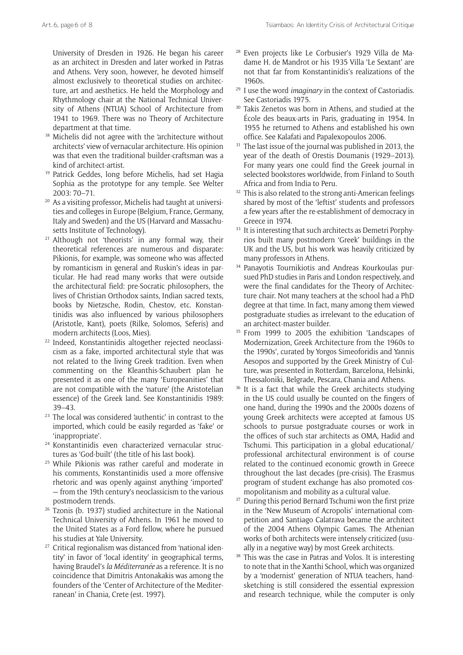University of Dresden in 1926. He began his career as an architect in Dresden and later worked in Patras and Athens. Very soon, however, he devoted himself almost exclusively to theoretical studies on architecture, art and aesthetics. He held the Morphology and Rhythmology chair at the National Technical University of Athens (NTUA) School of Architecture from 1941 to 1969. There was no Theory of Architecture department at that time.

- Michelis did not agree with the 'architecture without architects' view of vernacular architecture. His opinion was that even the traditional builder-craftsman was a
- kind of architect-artist. 19 Patrick Geddes, long before Michelis, had set Hagia Sophia as the prototype for any temple. See Welter 2003: 70–71.
- <sup>20</sup> As a visiting professor, Michelis had taught at universities and colleges in Europe (Belgium, France, Germany, Italy and Sweden) and the US (Harvard and Massachusetts Institute of Technology).
- <sup>21</sup> Although not 'theorists' in any formal way, their theoretical references are numerous and disparate: Pikionis, for example, was someone who was affected by romanticism in general and Ruskin's ideas in particular. He had read many works that were outside the architectural field: pre-Socratic philosophers, the lives of Christian Orthodox saints, Indian sacred texts, books by Nietzsche, Rodin, Chestov, etc. Konstantinidis was also influenced by various philosophers (Aristotle, Kant), poets (Rilke, Solomos, Seferis) and modern architects (Loos, Mies).
- <sup>22</sup> Indeed, Konstantinidis altogether rejected neoclassicism as a fake, imported architectural style that was not related to the living Greek tradition. Even when commenting on the Kleanthis-Schaubert plan he presented it as one of the many 'Europeanities' that are not compatible with the 'nature' (the Aristotelian essence) of the Greek land. See Konstantinidis 1989: 39–43.
- <sup>23</sup> The local was considered 'authentic' in contrast to the imported, which could be easily regarded as 'fake' or 'inappropriate'. 24 Konstantinidis even characterized vernacular struc-
- tures as 'God-built' (the title of his last book).
- <sup>25</sup> While Pikionis was rather careful and moderate in his comments, Konstantinidis used a more offensive rhetoric and was openly against anything 'imported' — from the 19th century's neoclassicism to the various
- postmodern trends. 26 Tzonis (b. 1937) studied architecture in the National Technical University of Athens. In 1961 he moved to the United States as a Ford fellow, where he pursued his studies at Yale University.
- <sup>27</sup> Critical regionalism was distanced from 'national identity' in favor of 'local identity' in geographical terms, having Braudel's *la Méditerranée* as a reference. It is no coincidence that Dimitris Antonakakis was among the founders of the 'Center of Architecture of the Mediterranean' in Chania, Crete (est. 1997).
- <sup>28</sup> Even projects like Le Corbusier's 1929 Villa de Madame H. de Mandrot or his 1935 Villa 'Le Sextant' are not that far from Konstantinidis's realizations of the 1960s.
- <sup>29</sup> I use the word *imaginary* in the context of Castoriadis. See Castoriadis 1975.
- <sup>30</sup> Takis Zenetos was born in Athens, and studied at the École des beaux-arts in Paris, graduating in 1954. In 1955 he returned to Athens and established his own office. See Kalafati and Papalexopoulos 2006.
- <sup>31</sup> The last issue of the journal was published in 2013, the year of the death of Orestis Doumanis (1929–2013). For many years one could find the Greek journal in selected bookstores worldwide, from Finland to South Africa and from India to Peru.
- <sup>32</sup> This is also related to the strong anti-American feelings shared by most of the 'leftist' students and professors a few years after the re-establishment of democracy in Greece in 1974.<br><sup>33</sup> It is interesting that such architects as Demetri Porphy-
- rios built many postmodern 'Greek' buildings in the UK and the US, but his work was heavily criticized by many professors in Athens.<br><sup>34</sup> Panayotis Tournikiotis and Andreas Kourkoulas pur-
- sued PhD studies in Paris and London respectively, and were the final candidates for the Theory of Architecture chair. Not many teachers at the school had a PhD degree at that time. In fact, many among them viewed postgraduate studies as irrelevant to the education of
- an architect-master builder.<br><sup>35</sup> From 1999 to 2005 the exhibition 'Landscapes of Modernization, Greek Architecture from the 1960s to the 1990s', curated by Yorgos Simeoforidis and Yannis Aesopos and supported by the Greek Ministry of Culture, was presented in Rotterdam, Barcelona, Helsinki,
- Thessaloniki, Belgrade, Pescara, Chania and Athens. 36 It is a fact that while the Greek architects studying in the US could usually be counted on the fingers of one hand, during the 1990s and the 2000s dozens of young Greek architects were accepted at famous US schools to pursue postgraduate courses or work in the offices of such star architects as OMA, Hadid and Tschumi. This participation in a global educational/ professional architectural environment is of course related to the continued economic growth in Greece throughout the last decades (pre-crisis). The Erasmus program of student exchange has also promoted cos-
- mopolitanism and mobility as a cultural value.<br><sup>37</sup> During this period Bernard Tschumi won the first prize in the 'New Museum of Acropolis' international competition and Santiago Calatrava became the architect of the 2004 Athens Olympic Games. The Athenian works of both architects were intensely criticized (usually in a negative way) by most Greek architects.
- <sup>38</sup> This was the case in Patras and Volos. It is interesting to note that in the Xanthi School, which was organized by a 'modernist' generation of NTUA teachers, handsketching is still considered the essential expression and research technique, while the computer is only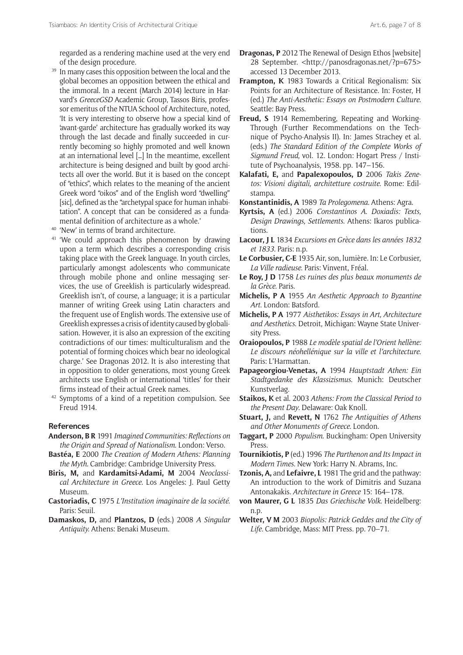regarded as a rendering machine used at the very end of the design procedure.

- <sup>39</sup> In many cases this opposition between the local and the global becomes an opposition between the ethical and the immoral. In a recent (March 2014) lecture in Harvard's *GreeceGSD* Academic Group, Tassos Biris, professor emeritus of the NTUA School of Architecture, noted, 'It is very interesting to observe how a special kind of 'avant-garde' architecture has gradually worked its way through the last decade and finally succeeded in currently becoming so highly promoted and well known at an international level […] In the meantime, excellent architecture is being designed and built by good architects all over the world. But it is based on the concept of "ethics", which relates to the meaning of the ancient Greek word "oikos" and of the English word "dwelling" [sic], defined as the "archetypal space for human inhabitation". A concept that can be considered as a fundamental definition of architecture as a whole.'
- <sup>40</sup> 'New' in terms of brand architecture.
- <sup>41</sup> 'We could approach this phenomenon by drawing upon a term which describes a corresponding crisis taking place with the Greek language. In youth circles, particularly amongst adolescents who communicate through mobile phone and online messaging services, the use of Greeklish is particularly widespread. Greeklish isn't, of course, a language; it is a particular manner of writing Greek using Latin characters and the frequent use of English words. The extensive use of Greeklish expresses a crisis of identity caused by globalisation. However, it is also an expression of the exciting contradictions of our times: multiculturalism and the potential of forming choices which bear no ideological charge.' See Dragonas 2012. It is also interesting that in opposition to older generations, most young Greek architects use English or international 'titles' for their firms instead of their actual Greek names.
- <sup>42</sup> Symptoms of a kind of a repetition compulsion. See Freud 1914.

#### **References**

- **Anderson, B R** 1991 *Imagined Communities: Reflections on the Origin and Spread of Nationalism*. London: Verso.
- **Bastéa, E** 2000 *The Creation of Modern Athens: Planning the Myth.* Cambridge: Cambridge University Press.
- **Biris, M,** and **Kardamitsi-Adami, M** 2004 *Neoclassical Architecture in Greece.* Los Angeles: J. Paul Getty Museum.
- **Castoriadis, C** 1975 *L'Institution imaginaire de la société*. Paris: Seuil.
- **Damaskos, D,** and **Plantzos, D** (eds.) 2008 *A Singular Antiquity.* Athens: Benaki Museum.
- **Dragonas, P** 2012 The Renewal of Design Ethos [website] 28 September. <<http://panosdragonas.net/?p=675>> accessed 13 December 2013.
- **Frampton, K** 1983 Towards a Critical Regionalism: Six Points for an Architecture of Resistance. In: Foster, H (ed.) *The Anti-Aesthetic: Essays on Postmodern Culture.* Seattle: Bay Press.
- **Freud, S** 1914 Remembering, Repeating and Working-Through (Further Recommendations on the Technique of Psycho-Analysis II). In: James Strachey et al. (eds.) *The Standard Edition of the Complete Works of Sigmund Freud*, vol. 12. London: Hogart Press / Institute of Psychoanalysis, 1958. pp. 147–156.
- **Kalafati, E,** and **Papalexopoulos, D** 2006 *Takis Zenetos: Visioni digitali, architetture costruite*. Rome: Edilstampa.
- **Konstantinidis, A** 1989 *Ta Prolegomena*. Athens: Agra.
- **Kyrtsis, A** (ed.) 2006 *Constantinos A. Doxiadis: Texts, Design Drawings, Settlements*. Athens: Ikaros publications.
- **Lacour, J L** 1834 *Excursions en Grèce dans les années 1832 et 1833*. Paris: n.p.
- **Le Corbusier, C-E** 1935 Air, son, lumière. In: Le Corbusier, *La Ville radieuse*. Paris: Vinvent, Fréal.
- **Le Roy, J D** 1758 *Les ruines des plus beaux monuments de la Grèce*. Paris.
- **Michelis, P A** 1955 *An Aesthetic Approach to Byzantine Art*. London: Batsford.
- **Michelis, P A** 1977 *Aisthetikos: Essays in Art, Architecture and Aesthetics*. Detroit, Michigan: Wayne State University Press.
- **Oraiopoulos, P** 1988 *Le modèle spatial de l'Orient hellène: Le discours néohellénique sur la ville et l'architecture*. Paris: L'Harmattan.
- **Papageorgiou-Venetas, A** 1994 *Hauptstadt Athen: Ein Stadtgedanke des Klassizismus*. Munich: Deutscher Kunstverlag.
- **Staikos, K** et al. 2003 *Athens: From the Classical Period to the Present Day*. Delaware: Oak Knoll.
- **Stuart, J,** and **Revett, N** 1762 *The Antiquities of Athens and Other Monuments of Greece*. London.
- **Taggart, P** 2000 *Populism*. Buckingham: Open University Press.
- **Tournikiotis, P** (ed.) 1996 *The Parthenon and Its Impact in Modern Times.* New York: Harry N. Abrams, Inc.
- **Tzonis, A,** and **Lefaivre, L** 1981 The grid and the pathway: An introduction to the work of Dimitris and Suzana Antonakakis. *Architecture in Greece* 15: 164–178.
- **von Maurer, G L** 1835 *Das Griechische Volk*. Heidelberg: n.p.
- **Welter, V M** 2003 *Biopolis: Patrick Geddes and the City of Life.* Cambridge, Mass: MIT Press. pp. 70–71.